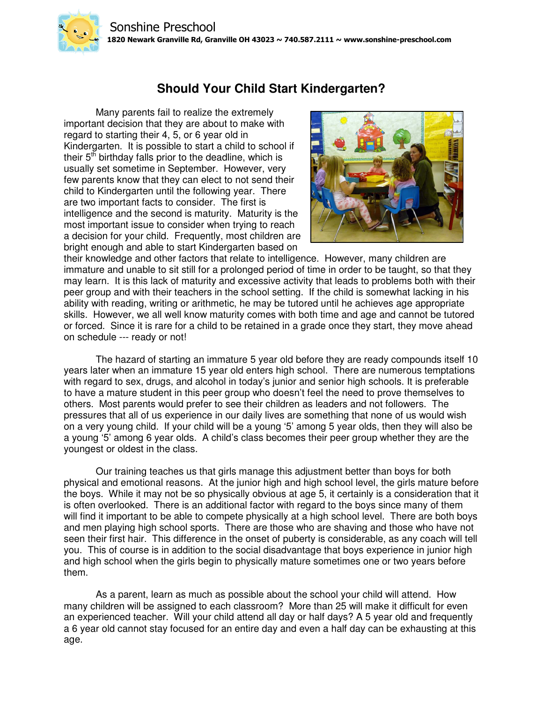## **Should Your Child Start Kindergarten?**

Many parents fail to realize the extremely important decision that they are about to make with regard to starting their 4, 5, or 6 year old in Kindergarten. It is possible to start a child to school if their  $5<sup>th</sup>$  birthday falls prior to the deadline, which is usually set sometime in September. However, very few parents know that they can elect to not send their child to Kindergarten until the following year. There are two important facts to consider. The first is intelligence and the second is maturity. Maturity is the most important issue to consider when trying to reach a decision for your child. Frequently, most children are bright enough and able to start Kindergarten based on



their knowledge and other factors that relate to intelligence. However, many children are immature and unable to sit still for a prolonged period of time in order to be taught, so that they may learn. It is this lack of maturity and excessive activity that leads to problems both with their peer group and with their teachers in the school setting. If the child is somewhat lacking in his ability with reading, writing or arithmetic, he may be tutored until he achieves age appropriate skills. However, we all well know maturity comes with both time and age and cannot be tutored or forced. Since it is rare for a child to be retained in a grade once they start, they move ahead on schedule --- ready or not!

The hazard of starting an immature 5 year old before they are ready compounds itself 10 years later when an immature 15 year old enters high school. There are numerous temptations with regard to sex, drugs, and alcohol in today's junior and senior high schools. It is preferable to have a mature student in this peer group who doesn't feel the need to prove themselves to others. Most parents would prefer to see their children as leaders and not followers. The pressures that all of us experience in our daily lives are something that none of us would wish on a very young child. If your child will be a young '5' among 5 year olds, then they will also be a young '5' among 6 year olds. A child's class becomes their peer group whether they are the youngest or oldest in the class.

Our training teaches us that girls manage this adjustment better than boys for both physical and emotional reasons. At the junior high and high school level, the girls mature before the boys. While it may not be so physically obvious at age 5, it certainly is a consideration that it is often overlooked. There is an additional factor with regard to the boys since many of them will find it important to be able to compete physically at a high school level. There are both boys and men playing high school sports. There are those who are shaving and those who have not seen their first hair. This difference in the onset of puberty is considerable, as any coach will tell you. This of course is in addition to the social disadvantage that boys experience in junior high and high school when the girls begin to physically mature sometimes one or two years before them.

As a parent, learn as much as possible about the school your child will attend. How many children will be assigned to each classroom? More than 25 will make it difficult for even an experienced teacher. Will your child attend all day or half days? A 5 year old and frequently a 6 year old cannot stay focused for an entire day and even a half day can be exhausting at this age.